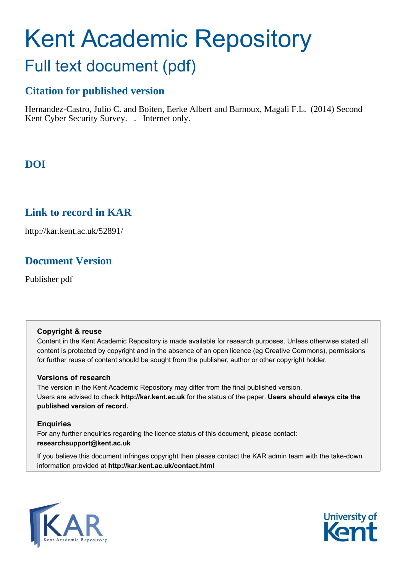# Kent Academic Repository

# Full text document (pdf)

# **Citation for published version**

Hernandez-Castro, Julio C. and Boiten, Eerke Albert and Barnoux, Magali F.L. (2014) Second Kent Cyber Security Survey. . Internet only.

# **DOI**

# **Link to record in KAR**

http://kar.kent.ac.uk/52891/

# **Document Version**

Publisher pdf

#### **Copyright & reuse**

Content in the Kent Academic Repository is made available for research purposes. Unless otherwise stated all content is protected by copyright and in the absence of an open licence (eg Creative Commons), permissions for further reuse of content should be sought from the publisher, author or other copyright holder.

#### **Versions of research**

The version in the Kent Academic Repository may differ from the final published version. Users are advised to check **http://kar.kent.ac.uk** for the status of the paper. **Users should always cite the published version of record.**

#### **Enquiries**

For any further enquiries regarding the licence status of this document, please contact: **researchsupport@kent.ac.uk**

If you believe this document infringes copyright then please contact the KAR admin team with the take-down information provided at **http://kar.kent.ac.uk/contact.html**



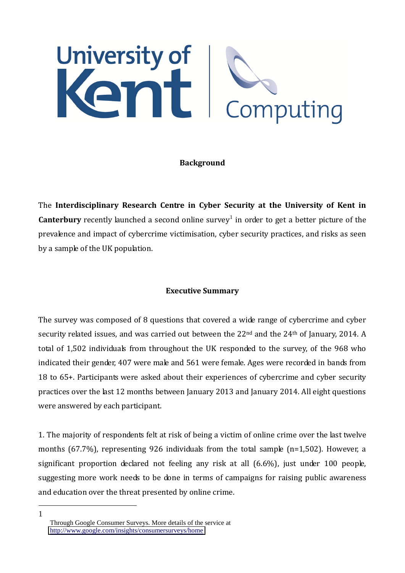# University of<br>Kent Komputing

#### **Background**

The **Interdisciplinary Research Centre in Cyber Security at the University of Kent in Canterbury** recently launched a second online survey<sup>1</sup> in order to get a better picture of the prevalence and impact of cybercrime victimisation, cyber security practices, and risks as seen by a sample of the UK population.

#### **Executive Summary**

The survey was composed of 8 questions that covered a wide range of cybercrime and cyber security related issues, and was carried out between the 22<sup>nd</sup> and the 24<sup>th</sup> of January, 2014. A total of 1,502 individuals from throughout the UK responded to the survey, of the 968 who indicated their gender, 407 were male and 561 were female. Ages were recorded in bands from 18 to 65+. Participants were asked about their experiences of cybercrime and cyber security practices over the last 12 months between January 2013 and January 2014. All eight questions were answered by each participant.

1. The majority of respondents felt at risk of being a victim of online crime over the last twelve months (67.7%), representing 926 individuals from the total sample (n=1,502). However, a significant proportion declared not feeling any risk at all (6.6%), just under 100 people, suggesting more work needs to be done in terms of campaigns for raising public awareness and education over the threat presented by online crime.

<u>.</u> 1

Through Google Consumer Surveys. More details of the service at <http://www.google.com/insights/consumersurveys/home>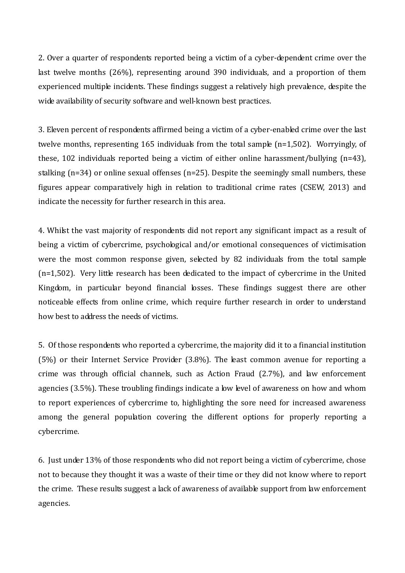2. Over a quarter of respondents reported being a victim of a cyber-dependent crime over the last twelve months (26%), representing around 390 individuals, and a proportion of them experienced multiple incidents. These findings suggest a relatively high prevalence, despite the wide availability of security software and well-known best practices.

3. Eleven percent of respondents affirmed being a victim of a cyber-enabled crime over the last twelve months, representing 165 individuals from the total sample (n=1,502). Worryingly, of these, 102 individuals reported being a victim of either online harassment/bullying (n=43), stalking (n=34) or online sexual offenses (n=25). Despite the seemingly small numbers, these figures appear comparatively high in relation to traditional crime rates (CSEW, 2013) and indicate the necessity for further research in this area.

4. Whilst the vast majority of respondents did not report any significant impact as a result of being a victim of cybercrime, psychological and/or emotional consequences of victimisation were the most common response given, selected by 82 individuals from the total sample (n=1,502). Very little research has been dedicated to the impact of cybercrime in the United Kingdom, in particular beyond financial losses. These findings suggest there are other noticeable effects from online crime, which require further research in order to understand how best to address the needs of victims.

5. Of those respondents who reported a cybercrime, the majority did it to a financial institution (5%) or their Internet Service Provider (3.8%). The least common avenue for reporting a crime was through official channels, such as Action Fraud (2.7%), and law enforcement agencies (3.5%). These troubling findings indicate a low level of awareness on how and whom to report experiences of cybercrime to, highlighting the sore need for increased awareness among the general population covering the different options for properly reporting a cybercrime.

6. Just under 13% of those respondents who did not report being a victim of cybercrime, chose not to because they thought it was a waste of their time or they did not know where to report the crime. These results suggest a lack of awareness of available support from law enforcement agencies.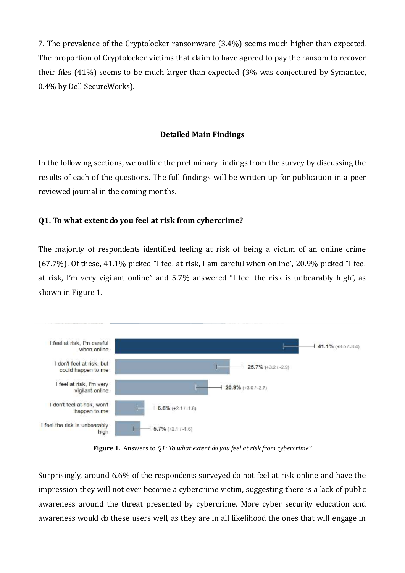7. The prevalence of the Cryptolocker ransomware (3.4%) seems much higher than expected. The proportion of Cryptolocker victims that claim to have agreed to pay the ransom to recover their files (41%) seems to be much larger than expected (3% was conjectured by Symantec, 0.4% by Dell SecureWorks).

#### **Detailed Main Findings**

In the following sections, we outline the preliminary findings from the survey by discussing the results of each of the questions. The full findings will be written up for publication in a peer reviewed journal in the coming months.

#### **Q1. To what extent do you feel at risk from cybercrime?**

The majority of respondents identified feeling at risk of being a victim of an online crime  $(67.7%)$ . Of these, 41.1% picked "I feel at risk, I am careful when online", 20.9% picked "I feel at risk, I'm very vigilant online" and 5.7% answered "I feel the risk is unbearably high", as shown in Figure 1.



**Figure 1.** Answers to *Q1: To what extent do you feel at risk from cybercrime?*

Surprisingly, around 6.6% of the respondents surveyed do not feel at risk online and have the impression they will not ever become a cybercrime victim, suggesting there is a lack of public awareness around the threat presented by cybercrime. More cyber security education and awareness would do these users well, as they are in all likelihood the ones that will engage in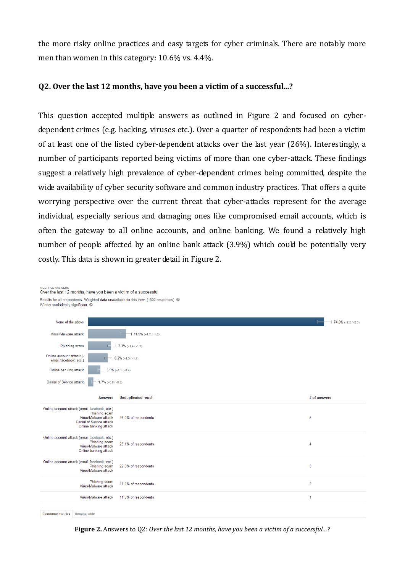the more risky online practices and easy targets for cyber criminals. There are notably more men than women in this category: 10.6% vs. 4.4%.

#### **Q2. Over the last 12 months, have you been a victim of a successful...?**

This question accepted multiple answers as outlined in Figure 2 and focused on cyberdependent crimes (e.g. hacking, viruses etc.). Over a quarter of respondents had been a victim of at least one of the listed cyber-dependent attacks over the last year (26%). Interestingly, a number of participants reported being victims of more than one cyber-attack. These findings suggest a relatively high prevalence of cyber-dependent crimes being committed, despite the wide availability of cyber security software and common industry practices. That offers a quite worrying perspective over the current threat that cyber-attacks represent for the average individual, especially serious and damaging ones like compromised email accounts, which is often the gateway to all online accounts, and online banking. We found a relatively high number of people affected by an online bank attack (3.9%) which could be potentially very costly. This data is shown in greater detail in Figure 2.

ULTIPLE ANSWE

**Figure 2.** Answers to 02: *Over the last 12 months, have you been a victim of a successful...?* 

Winner statistically significant. <sup>@</sup>  $-1$  74.0% (+2.2.1-2.3) None of the above Virus/Malware attack  $\leftarrow$  11.9% (+1.7 / -1.5) Phishing scam  $-1$  7.3% (+1.4 / -1.2) Online account attack (- $\pm$  6.2% (+1.3 / -1.1) email facebook etc.) Online banking attack  $\pm$  3.9% (+1.1 / -0.9) Denial of Service attack | | 1.7% (+0.8 / -0.5) **Answers Unduplicated reach** # of answers Online account attack (email, facebook, etc.) Phishing scam Virus/Malware attack 26.0% of respondents 5 Denial of Service attack Online banking attack Online account attack (email.facebook, etc.) Phishing scam 25.1% of respondents  $\overline{4}$ Virus/Malware attack Online banking attack Online account attack (email.facebook, etc.) Phishing scam<br>Phishing scam<br>Virus/Malware attack 22.0% of respondents 3 Phishing scam  $\overline{2}$ 17.2% of respondents Virus/Malware attack Virus/Malware attack 11.9% of respondents  $\overline{1}$ Response metrics Results table

Over the last 12 months, have you been a victim of a successful Results for all respondents. Weighted data unavailable for this view. (1502 responses) @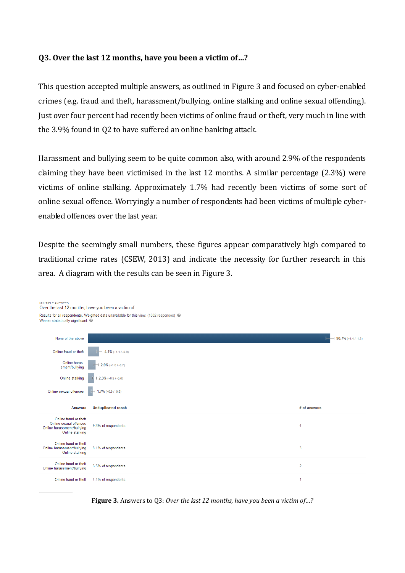#### Q3. Over the last 12 months, have you been a victim of...?

MULTIPLE ANSWERS

This question accepted multiple answers, as outlined in Figure 3 and focused on cyber-enabled crimes (e.g. fraud and theft, harassment/bullying, online stalking and online sexual offending). Just over four percent had recently been victims of online fraud or theft, very much in line with the 3.9% found in Q2 to have suffered an online banking attack.

Harassment and bullying seem to be quite common also, with around 2.9% of the respondents claiming they have been victimised in the last 12 months. A similar percentage (2.3%) were victims of online stalking. Approximately 1.7% had recently been victims of some sort of online sexual offence. Worryingly a number of respondents had been victims of multiple cyberenabled offences over the last year.

Despite the seemingly small numbers, these figures appear comparatively high compared to traditional crime rates (CSEW, 2013) and indicate the necessity for further research in this area. A diagram with the results can be seen in Figure 3.

| Over the last 12 months, have you been a victim of                                               |                                                                                                     |                        |
|--------------------------------------------------------------------------------------------------|-----------------------------------------------------------------------------------------------------|------------------------|
| Winner statistically significant. @                                                              | Results for all respondents. Weighted data unavailable for this view. (1502 responses) <sup>©</sup> |                        |
| None of the above                                                                                |                                                                                                     | $90.7\%$ (+1.4 / -1.6) |
| Online fraud or theft                                                                            | $4.1\%$ (+1.1 / -0.9)                                                                               |                        |
| Online haras-<br>sment/bullying                                                                  | $2.9\%$ (+1.0 / -0.7)                                                                               |                        |
| Online stalking                                                                                  | $2.3\%$ (+0.9 / -0.6)                                                                               |                        |
| Online sexual offences                                                                           | $\blacktriangleright$ 1.7% (+0.8 / -0.5)                                                            |                        |
|                                                                                                  |                                                                                                     |                        |
| <b>Answers</b>                                                                                   | <b>Unduplicated reach</b>                                                                           | # of answers           |
| Online fraud or theft<br>Online sexual offences<br>Online harassment/bullying<br>Online stalking | 9.3% of respondents                                                                                 | 4                      |
| Online fraud or theft<br>Online harassment/bullying<br>Online stalking                           | 8.1% of respondents                                                                                 | 3                      |
| Online fraud or theft<br>Online harassment/bullying                                              | 6.5% of respondents                                                                                 | $\overline{2}$         |

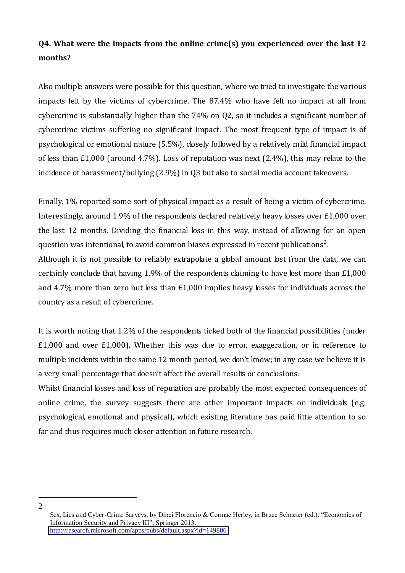# **Q4. What were the impacts from the online crime(s) you experienced over the last 12 months?**

Also multiple answers were possible for this question, where we tried to investigate the various impacts felt by the victims of cybercrime. The 87.4% who have felt no impact at all from cybercrime is substantially higher than the 74% on Q2, so it includes a significant number of cybercrime victims suffering no significant impact. The most frequent type of impact is of psychological or emotional nature (5.5%), closely followed by a relatively mild financial impact of less than £1,000 (around 4.7%). Loss of reputation was next (2.4%), this may relate to the incidence of harassment/bullying (2.9%) in Q3 but also to social media account takeovers.

Finally, 1% reported some sort of physical impact as a result of being a victim of cybercrime. Interestingly, around 1.9% of the respondents declared relatively heavy losses over £1,000 over the last 12 months. Dividing the financial loss in this way, instead of allowing for an open question was intentional, to avoid common biases expressed in recent publications<sup>2</sup>.

Although it is not possible to reliably extrapolate a global amount lost from the data, we can certainly conclude that having 1.9% of the respondents claiming to have lost more than £1,000 and 4.7% more than zero but less than £1,000 implies heavy losses for individuals across the country as a result of cybercrime.

It is worth noting that 1.2% of the respondents ticked both of the financial possibilities (under £1,000 and over £1,000). Whether this was due to error, exaggeration, or in reference to multiple incidents within the same 12 month period, we don't know; in any case we believe it is a very small percentage that doesn't affect the overall results or conclusions.

Whilst financial losses and loss of reputation are probably the most expected consequences of online crime, the survey suggests there are other important impacts on individuals (e.g. psychological, emotional and physical), which existing literature has paid little attention to so far and thus requires much closer attention in future research.

<u>.</u> 2

Sex, Lies and Cyber-Crime Surveys, by Dinei Florencio & Cormac Herley, in Bruce Schneier (ed.): "Economics of Information Security and Privacy III", Springer 2013. <http://research.microsoft.com/apps/pubs/default.aspx?id=149886>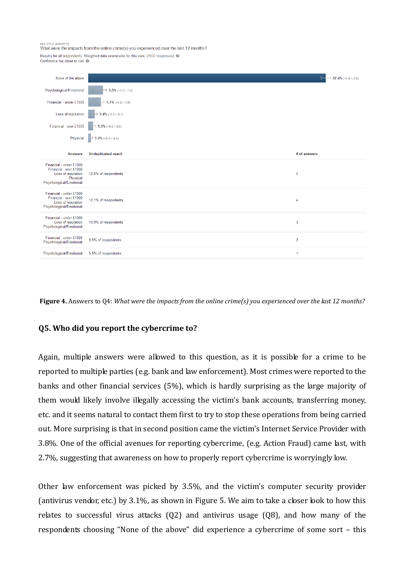**ALL TIPLE ANS** 

What were the impacts from the online crime(s) you experienced over the last 12 months?

Results for all respondents. Weighted data unavailable for this view. (1502 responses) @ Confidence too close to call.

| None of the above                                                                                  |                                  | $87.4\%$ (+1.6 / -1.8) |
|----------------------------------------------------------------------------------------------------|----------------------------------|------------------------|
| Psychological/Emotional                                                                            | $\rightarrow$ 5.5% (+1.3 / -1.0) |                        |
| Financial - under £1000                                                                            | $+4.7\%$ (+1.2 / -1.0)           |                        |
| Loss of reputation                                                                                 | $2.4\%$ (+0.9 / -0.7)            |                        |
| Financial - over £1000                                                                             | $+ 1.9\%$ (+0.8 / -0.6)          |                        |
| Physical                                                                                           | $\leftarrow$ 1.0% (+0.6 / -0.4)  |                        |
| <b>Answers</b>                                                                                     | <b>Unduplicated reach</b>        | # of answers           |
| Financial - under £1000<br>Financial - over £1000<br>Loss of reputation<br>Physical                | 12.6% of respondents             | 5                      |
| Psychological/Emotional                                                                            |                                  |                        |
| Financial - under £1000<br>Financial - over £1000<br>Loss of reputation<br>Psychological/Emotional | 12.1% of respondents             | 4                      |
| Financial - under £1000<br>Loss of reputation<br>Psychological/Emotional                           | 10.9% of respondents             | 3                      |
| Financial - under £1000<br>Psychological/Emotional                                                 | 9.5% of respondents              | $\overline{2}$         |

**Figure 4.** Answers to Q4: *What were the impacts from the online crime(s) you experienced over the last 12 months?*

#### **Q5. Who did you report the cybercrime to?**

Again, multiple answers were allowed to this question, as it is possible for a crime to be reported to multiple parties (e.g. bank and law enforcement). Most crimes were reported to the banks and other financial services (5%), which is hardly surprising as the large majority of them would likely involve illegally accessing the victim's bank accounts, transferring money, etc. and it seems natural to contact them first to try to stop these operations from being carried out. More surprising is that in second position came the victim's Internet Service Provider with 3.8%. One of the official avenues for reporting cybercrime, (e.g. Action Fraud) came last, with 2.7%, suggesting that awareness on how to properly report cybercrime is worryingly low.

Other law enforcement was picked by 3.5%, and the victim's computer security provider (antivirus vendor, etc.) by 3.1%, as shown in Figure 5. We aim to take a closer look to how this relates to successful virus attacks (Q2) and antivirus usage (Q8), and how many of the respondents choosing "None of the above" did experience a cybercrime of some sort  $-$  this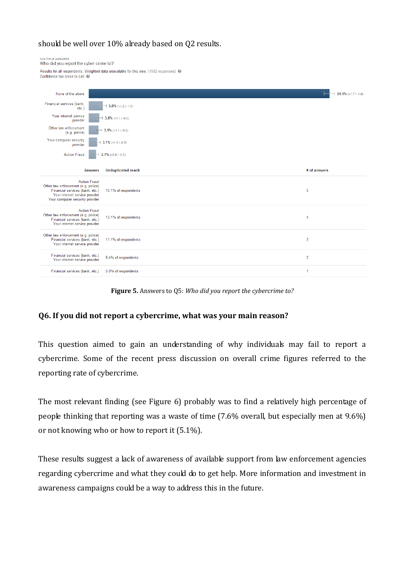#### should be well over 10% already based on Q2 results.

| MULTIPLE ANSWERS<br>Who did you report the cyber crime to?                                                                                                         |                                                                                          |                        |
|--------------------------------------------------------------------------------------------------------------------------------------------------------------------|------------------------------------------------------------------------------------------|------------------------|
| Confidence too close to call. @                                                                                                                                    | Results for all respondents. Weighted data unavailable for this view. (1502 responses) @ |                        |
|                                                                                                                                                                    |                                                                                          |                        |
| None of the above                                                                                                                                                  |                                                                                          | $84.9\%$ (+1.7 / -1.9) |
| Financial services (bank,<br>$etc.$ )                                                                                                                              | $\pm 5.0\%$ (+1.2 / -1.0)                                                                |                        |
| Your internet service<br>provider                                                                                                                                  | $3.8\%$ (+1.1 / -0.9)                                                                    |                        |
| Other law enforcement<br>(e.g. police)                                                                                                                             | $3.5\%$ (+1.1 / -0.8)                                                                    |                        |
| Your computer security<br>provider                                                                                                                                 | $3.1\%$ (+1.0 / -0.8)                                                                    |                        |
| <b>Action Fraud</b>                                                                                                                                                | $2.7\%$ (+0.9 / -0.7)                                                                    |                        |
|                                                                                                                                                                    |                                                                                          |                        |
| <b>Answers</b>                                                                                                                                                     | <b>Unduplicated reach</b>                                                                | # of answers           |
| <b>Action Fraud</b><br>Other law enforcement (e.g. police)<br>Financial services (bank, etc.)<br>Your internet service provider<br>Your computer security provider | 15.1% of respondents                                                                     | 5                      |
| <b>Action Fraud</b><br>Other law enforcement (e.g. police)<br>Financial services (bank, etc.)<br>Your internet service provider                                    | 13.1% of respondents                                                                     | 4                      |
| Other law enforcement (e.g. police)<br>Financial services (bank, etc.)<br>Your internet service provider                                                           | 11.1% of respondents                                                                     | 3                      |
| Financial services (bank, etc.)<br>Your internet service provider                                                                                                  | 8.4% of respondents                                                                      | $\overline{2}$         |

**Figure 5.** Answers to Q5: *Who did you report the cybercrime to?*

#### **Q6. If you did not report a cybercrime, what was your main reason?**

This question aimed to gain an understanding of why individuals may fail to report a cybercrime. Some of the recent press discussion on overall crime figures referred to the reporting rate of cybercrime.

The most relevant finding (see Figure 6) probably was to find a relatively high percentage of people thinking that reporting was a waste of time (7.6% overall, but especially men at 9.6%) or not knowing who or how to report it (5.1%).

These results suggest a lack of awareness of available support from law enforcement agencies regarding cybercrime and what they could do to get help. More information and investment in awareness campaigns could be a way to address this in the future.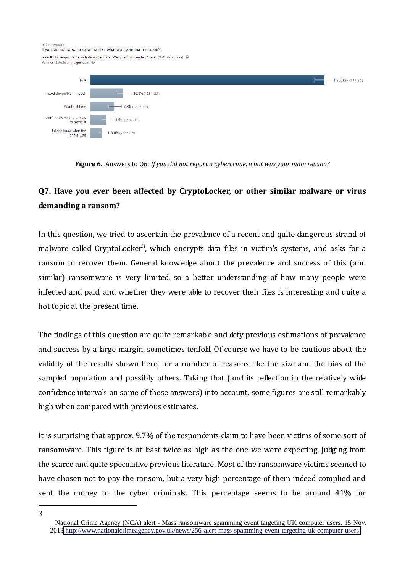**CINOLE ANOWER** 

If you did not report a cyber crime, what was your main reason?

Results for respondents with demographics. Weighted by Gender, State. (964 responses) @ Winner statistically significant.



**Figure 6.** Answers to Q6: *If you did not report a cybercrime, what was your main reason?*

# **Q7. Have you ever been affected by CryptoLocker, or other similar malware or virus demanding a ransom?**

In this question, we tried to ascertain the prevalence of a recent and quite dangerous strand of malware called CryptoLocker<sup>3</sup>, which encrypts data files in victim's systems, and asks for a ransom to recover them. General knowledge about the prevalence and success of this (and similar) ransomware is very limited, so a better understanding of how many people were infected and paid, and whether they were able to recover their files is interesting and quite a hot topic at the present time.

The findings of this question are quite remarkable and defy previous estimations of prevalence and success by a large margin, sometimes tenfold. Of course we have to be cautious about the validity of the results shown here, for a number of reasons like the size and the bias of the sampled population and possibly others. Taking that (and its reflection in the relatively wide confidence intervals on some of these answers) into account, some figures are still remarkably high when compared with previous estimates.

It is surprising that approx. 9.7% of the respondents claim to have been victims of some sort of ransomware. This figure is at least twice as high as the one we were expecting, judging from the scarce and quite speculative previous literature. Most of the ransomware victims seemed to have chosen not to pay the ransom, but a very high percentage of them indeed complied and sent the money to the cyber criminals. This percentage seems to be around 41% for

<sup>&</sup>lt;u>.</u> 3

National Crime Agency (NCA) alert - Mass ransomware spamming event targeting UK computer users. 15 Nov. 2013<http://www.nationalcrimeagency.gov.uk/news/256-alert-mass-spamming-event-targeting-uk-computer-users>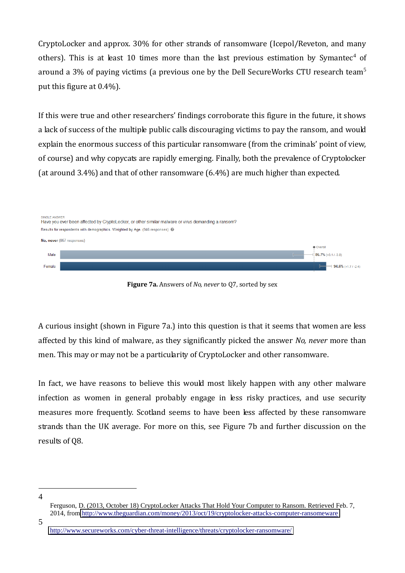CryptoLocker and approx. 30% for other strands of ransomware (Icepol/Reveton, and many others). This is at least 10 times more than the last previous estimation by Symantec<sup>4</sup> of around a 3% of paying victims (a previous one by the Dell SecureWorks CTU research team<sup>5</sup> put this figure at 0.4%).

If this were true and other researchers' findings corroborate this figure in the future, it shows a lack of success of the multiple public calls discouraging victims to pay the ransom, and would explain the enormous success of this particular ransomware (from the criminals' point of view, of course) and why copycats are rapidly emerging. Finally, both the prevalence of Cryptolocker (at around 3.4%) and that of other ransomware (6.4%) are much higher than expected.



**Figure 7a.** Answers of *No, never* to Q7, sorted by sex

A curious insight (shown in Figure 7a.) into this question is that it seems that women are less affected by this kind of malware, as they significantly picked the answer *No, never* more than men. This may or may not be a particularity of CryptoLocker and other ransomware.

In fact, we have reasons to believe this would most likely happen with any other malware infection as women in general probably engage in less risky practices, and use security measures more frequently. Scotland seems to have been less affected by these ransomware strands than the UK average. For more on this, see Figure 7b and further discussion on the results of Q8.

<sup>&</sup>lt;u>.</u> 4

Ferguson, D. (2013, October 18) CryptoLocker Attacks That Hold Your Computer to Ransom. Retrieved Feb. 7, 2014, from<http://www.theguardian.com/money/2013/oct/19/cryptolocker-attacks-computer-ransomeware>

<sup>5</sup> 

<http://www.secureworks.com/cyber-threat-intelligence/threats/cryptolocker-ransomware/>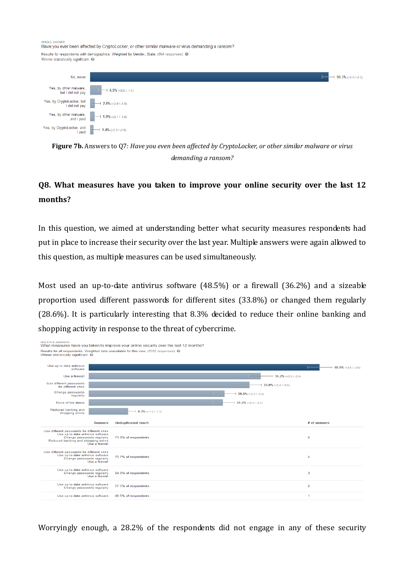**NOLE ANOWER** 

Have you ever been affected by Cryptol ocker, or other similar malware or virus demanding a ransom? Results for respondents with demographics. Weighted by Gender, State. (964 responses) @ Winner statistically significant. @



**Figure 7b.** Answers to Q7: *Have you even been affected by CryptoLocker, or other similar malware or virus demanding a ransom?*

# **Q8. What measures have you taken to improve your online security over the last 12 months?**

In this question, we aimed at understanding better what security measures respondents had put in place to increase their security over the last year. Multiple answers were again allowed to this question, as multiple measures can be used simultaneously.

Most used an up-to-date antivirus software (48.5%) or a firewall (36.2%) and a sizeable proportion used different passwords for different sites (33.8%) or changed them regularly (28.6%). It is particularly interesting that 8.3% decided to reduce their online banking and shopping activity in response to the threat of cybercrime.



Worryingly enough, a 28.2% of the respondents did not engage in any of these security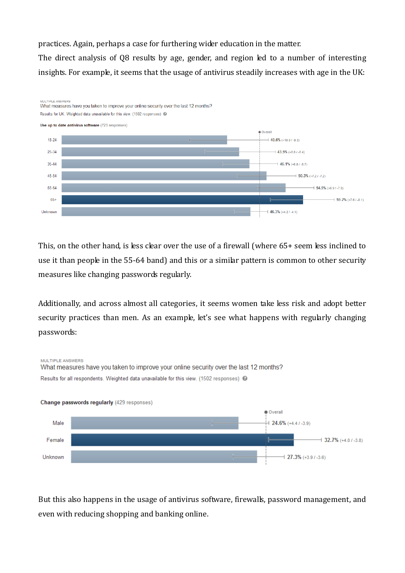practices. Again, perhaps a case for furthering wider education in the matter.

The direct analysis of Q8 results by age, gender, and region led to a number of interesting insights. For example, it seems that the usage of antivirus steadily increases with age in the UK:



This, on the other hand, is less clear over the use of a firewall (where 65+ seem less inclined to use it than people in the 55-64 band) and this or a similar pattern is common to other security measures like changing passwords regularly.

Additionally, and across almost all categories, it seems women take less risk and adopt better security practices than men. As an example, let's see what happens with regularly changing passwords:



But this also happens in the usage of antivirus software, firewalls, password management, and even with reducing shopping and banking online.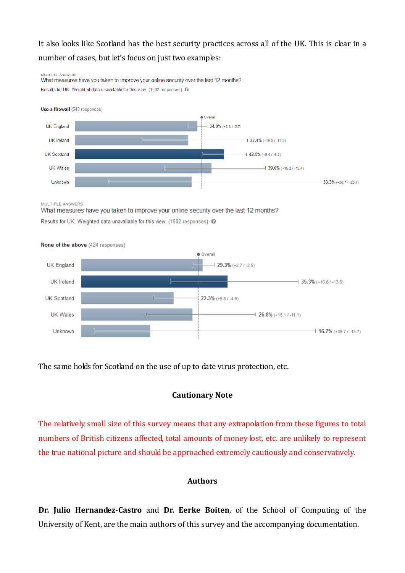# It also looks like Scotland has the best security practices across all of the UK. This is clear in a number of cases, but let's focus on just two examples:

MULTIPLE ANSWERS What measures have you taken to improve your online security over the last 12 months? Results for UK. Weighted data unavailable for this view. (1502 responses) <sup>@</sup>

Use a firewall (543 responses)



MULTIPLE ANSWERS

What measures have you taken to improve your online security over the last 12 months? Results for UK. Weighted data unavailable for this view. (1502 responses) @



The same holds for Scotland on the use of up to date virus protection, etc.

#### **Cautionary Note**

The relatively small size of this survey means that any extrapolation from these figures to total numbers of British citizens affected, total amounts of money lost, etc. are unlikely to represent the true national picture and should be approached extremely cautiously and conservatively.

#### **Authors**

**Dr. Julio Hernandez-Castro** and **Dr. Eerke Boiten**, of the School of Computing of the University of Kent, are the main authors of this survey and the accompanying documentation.